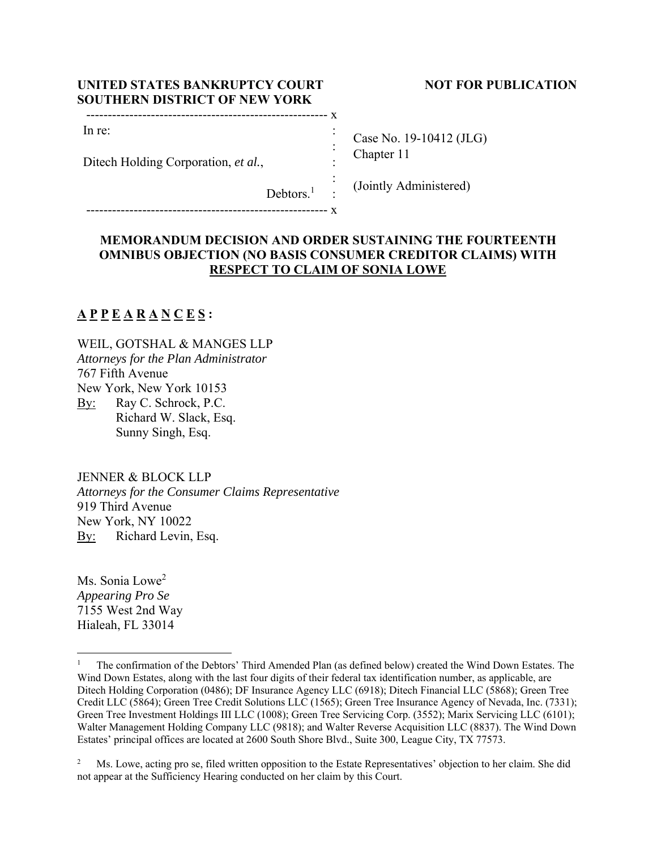| UNITED STATES BANKRUPTCY COURT       |
|--------------------------------------|
| <b>SOUTHERN DISTRICT OF NEW YORK</b> |

Ditech Holding Corporation, *et al.*,

-------------------------------------------------------- x

## **NOT FOR PUBLICATION**

| Case No. 19-10412 (JLG) |
|-------------------------|
| Chapter 11              |
|                         |

(Jointly Administered)

 $Debtors.<sup>1</sup>$ :

-------------------------------------------------------- x

## **MEMORANDUM DECISION AND ORDER SUSTAINING THE FOURTEENTH OMNIBUS OBJECTION (NO BASIS CONSUMER CREDITOR CLAIMS) WITH RESPECT TO CLAIM OF SONIA LOWE**

 : :

:

# **A P P E A R A N C E S :**

In re:

WEIL, GOTSHAL & MANGES LLP *Attorneys for the Plan Administrator*  767 Fifth Avenue New York, New York 10153 By: Ray C. Schrock, P.C. Richard W. Slack, Esq. Sunny Singh, Esq.

JENNER & BLOCK LLP

*Attorneys for the Consumer Claims Representative*  919 Third Avenue New York, NY 10022 By: Richard Levin, Esq.

Ms. Sonia Lowe<sup>2</sup> *Appearing Pro Se*  7155 West 2nd Way Hialeah, FL 33014

<sup>1</sup> The confirmation of the Debtors' Third Amended Plan (as defined below) created the Wind Down Estates. The Wind Down Estates, along with the last four digits of their federal tax identification number, as applicable, are Ditech Holding Corporation (0486); DF Insurance Agency LLC (6918); Ditech Financial LLC (5868); Green Tree Credit LLC (5864); Green Tree Credit Solutions LLC (1565); Green Tree Insurance Agency of Nevada, Inc. (7331); Green Tree Investment Holdings III LLC (1008); Green Tree Servicing Corp. (3552); Marix Servicing LLC (6101); Walter Management Holding Company LLC (9818); and Walter Reverse Acquisition LLC (8837). The Wind Down Estates' principal offices are located at 2600 South Shore Blvd., Suite 300, League City, TX 77573.

<sup>2</sup> Ms. Lowe, acting pro se, filed written opposition to the Estate Representatives' objection to her claim. She did not appear at the Sufficiency Hearing conducted on her claim by this Court.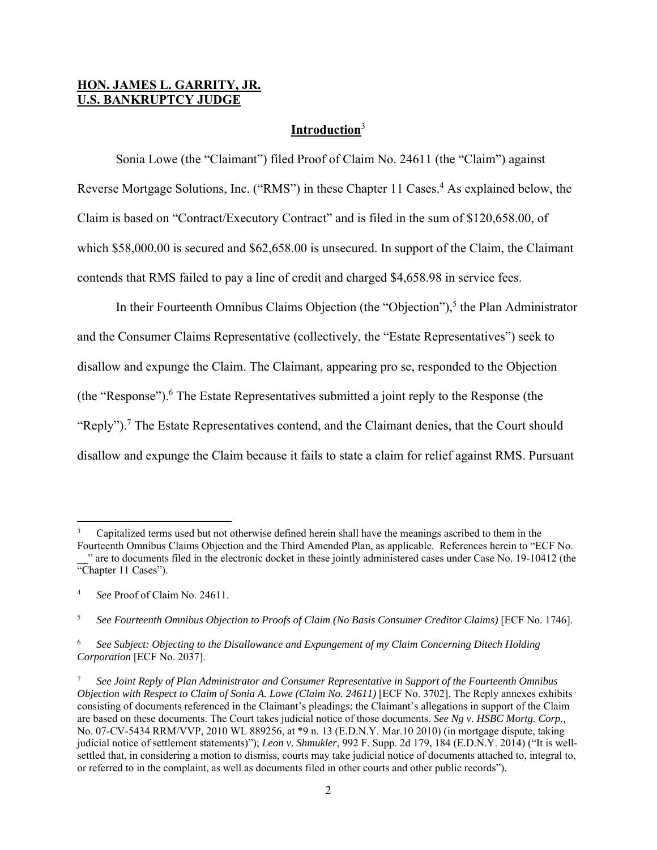## **HON. JAMES L. GARRITY, JR. U.S. BANKRUPTCY JUDGE**

## **Introduction**<sup>3</sup>

 Sonia Lowe (the "Claimant") filed Proof of Claim No. 24611 (the "Claim") against Reverse Mortgage Solutions, Inc. ("RMS") in these Chapter 11 Cases.<sup>4</sup> As explained below, the Claim is based on "Contract/Executory Contract" and is filed in the sum of \$120,658.00, of which \$58,000.00 is secured and \$62,658.00 is unsecured. In support of the Claim, the Claimant contends that RMS failed to pay a line of credit and charged \$4,658.98 in service fees.

In their Fourteenth Omnibus Claims Objection (the "Objection"),<sup>5</sup> the Plan Administrator and the Consumer Claims Representative (collectively, the "Estate Representatives") seek to disallow and expunge the Claim. The Claimant, appearing pro se, responded to the Objection (the "Response").<sup>6</sup> The Estate Representatives submitted a joint reply to the Response (the "Reply").<sup>7</sup> The Estate Representatives contend, and the Claimant denies, that the Court should disallow and expunge the Claim because it fails to state a claim for relief against RMS. Pursuant

<sup>3</sup> Capitalized terms used but not otherwise defined herein shall have the meanings ascribed to them in the

Fourteenth Omnibus Claims Objection and the Third Amended Plan, as applicable. References herein to "ECF No. \_\_" are to documents filed in the electronic docket in these jointly administered cases under Case No. 19-10412 (the "Chapter 11 Cases").

<sup>4</sup> *See* Proof of Claim No. 24611.

<sup>5</sup> *See Fourteenth Omnibus Objection to Proofs of Claim (No Basis Consumer Creditor Claims)* [ECF No. 1746].

<sup>6</sup> *See Subject: Objecting to the Disallowance and Expungement of my Claim Concerning Ditech Holding Corporation* [ECF No. 2037].

<sup>7</sup> *See Joint Reply of Plan Administrator and Consumer Representative in Support of the Fourteenth Omnibus Objection with Respect to Claim of Sonia A. Lowe (Claim No. 24611)* [ECF No. 3702]. The Reply annexes exhibits consisting of documents referenced in the Claimant's pleadings; the Claimant's allegations in support of the Claim are based on these documents. The Court takes judicial notice of those documents. *See Ng v. HSBC Mortg. Corp.,* No. 07-CV-5434 RRM/VVP, 2010 WL 889256, at \*9 n. 13 (E.D.N.Y. Mar.10 2010) (in mortgage dispute, taking judicial notice of settlement statements)"); *Leon v. Shmukler*, 992 F. Supp. 2d 179, 184 (E.D.N.Y. 2014) ("It is wellsettled that, in considering a motion to dismiss, courts may take judicial notice of documents attached to, integral to, or referred to in the complaint, as well as documents filed in other courts and other public records").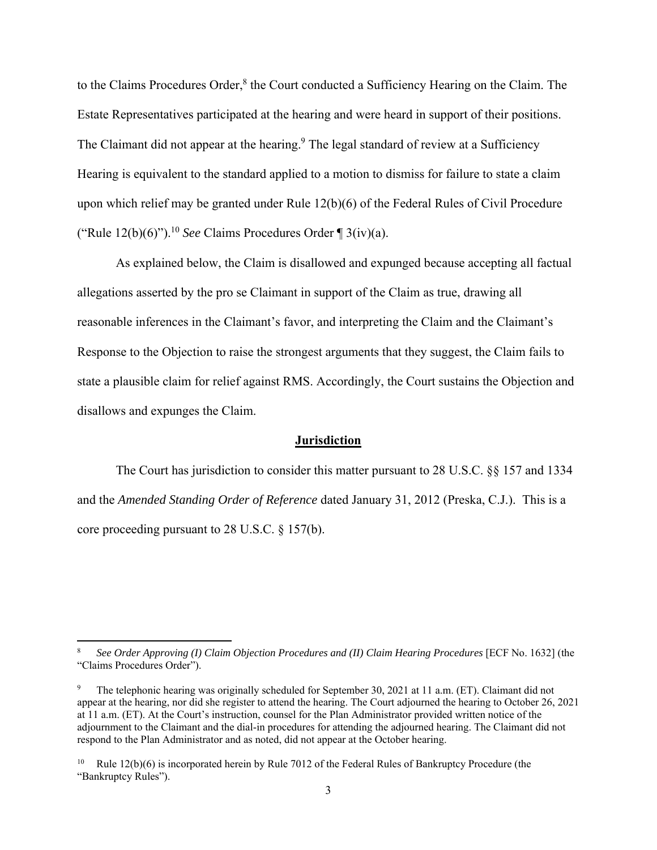to the Claims Procedures Order,<sup>8</sup> the Court conducted a Sufficiency Hearing on the Claim. The Estate Representatives participated at the hearing and were heard in support of their positions. The Claimant did not appear at the hearing.<sup>9</sup> The legal standard of review at a Sufficiency Hearing is equivalent to the standard applied to a motion to dismiss for failure to state a claim upon which relief may be granted under Rule 12(b)(6) of the Federal Rules of Civil Procedure ("Rule  $12(b)(6)$ ").<sup>10</sup> *See* Claims Procedures Order ¶ 3(iv)(a).

As explained below, the Claim is disallowed and expunged because accepting all factual allegations asserted by the pro se Claimant in support of the Claim as true, drawing all reasonable inferences in the Claimant's favor, and interpreting the Claim and the Claimant's Response to the Objection to raise the strongest arguments that they suggest, the Claim fails to state a plausible claim for relief against RMS. Accordingly, the Court sustains the Objection and disallows and expunges the Claim.

#### **Jurisdiction**

 The Court has jurisdiction to consider this matter pursuant to 28 U.S.C. §§ 157 and 1334 and the *Amended Standing Order of Reference* dated January 31, 2012 (Preska, C.J.). This is a core proceeding pursuant to 28 U.S.C. § 157(b).

<sup>8</sup> *See Order Approving (I) Claim Objection Procedures and (II) Claim Hearing Procedures* [ECF No. 1632] (the "Claims Procedures Order").

<sup>9</sup> The telephonic hearing was originally scheduled for September 30, 2021 at 11 a.m. (ET). Claimant did not appear at the hearing, nor did she register to attend the hearing. The Court adjourned the hearing to October 26, 2021 at 11 a.m. (ET). At the Court's instruction, counsel for the Plan Administrator provided written notice of the adjournment to the Claimant and the dial-in procedures for attending the adjourned hearing. The Claimant did not respond to the Plan Administrator and as noted, did not appear at the October hearing.

<sup>&</sup>lt;sup>10</sup> Rule  $12(b)(6)$  is incorporated herein by Rule 7012 of the Federal Rules of Bankruptcy Procedure (the "Bankruptcy Rules").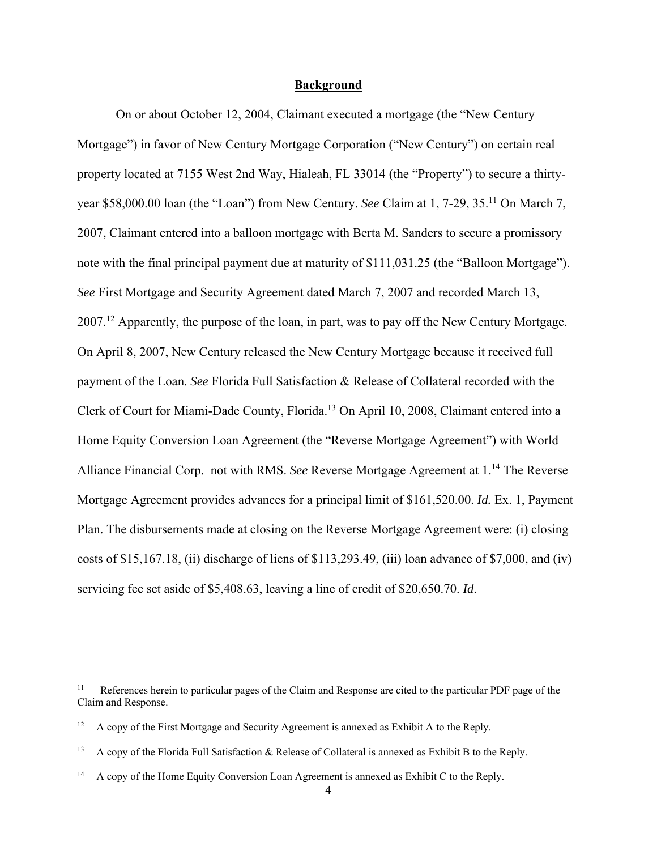#### **Background**

On or about October 12, 2004, Claimant executed a mortgage (the "New Century Mortgage") in favor of New Century Mortgage Corporation ("New Century") on certain real property located at 7155 West 2nd Way, Hialeah, FL 33014 (the "Property") to secure a thirtyyear \$58,000.00 loan (the "Loan") from New Century. *See* Claim at 1, 7-29, 35.11 On March 7, 2007, Claimant entered into a balloon mortgage with Berta M. Sanders to secure a promissory note with the final principal payment due at maturity of \$111,031.25 (the "Balloon Mortgage"). *See* First Mortgage and Security Agreement dated March 7, 2007 and recorded March 13, 2007.<sup>12</sup> Apparently, the purpose of the loan, in part, was to pay off the New Century Mortgage. On April 8, 2007, New Century released the New Century Mortgage because it received full payment of the Loan. *See* Florida Full Satisfaction & Release of Collateral recorded with the Clerk of Court for Miami-Dade County, Florida.13 On April 10, 2008, Claimant entered into a Home Equity Conversion Loan Agreement (the "Reverse Mortgage Agreement") with World Alliance Financial Corp.–not with RMS. *See* Reverse Mortgage Agreement at 1.14 The Reverse Mortgage Agreement provides advances for a principal limit of \$161,520.00. *Id.* Ex. 1, Payment Plan. The disbursements made at closing on the Reverse Mortgage Agreement were: (i) closing costs of \$15,167.18, (ii) discharge of liens of  $$113,293.49$ , (iii) loan advance of \$7,000, and (iv) servicing fee set aside of \$5,408.63, leaving a line of credit of \$20,650.70. *Id*.

<sup>&</sup>lt;sup>11</sup> References herein to particular pages of the Claim and Response are cited to the particular PDF page of the Claim and Response.

<sup>12</sup> A copy of the First Mortgage and Security Agreement is annexed as Exhibit A to the Reply.

<sup>&</sup>lt;sup>13</sup> A copy of the Florida Full Satisfaction & Release of Collateral is annexed as Exhibit B to the Reply.

<sup>&</sup>lt;sup>14</sup> A copy of the Home Equity Conversion Loan Agreement is annexed as Exhibit C to the Reply.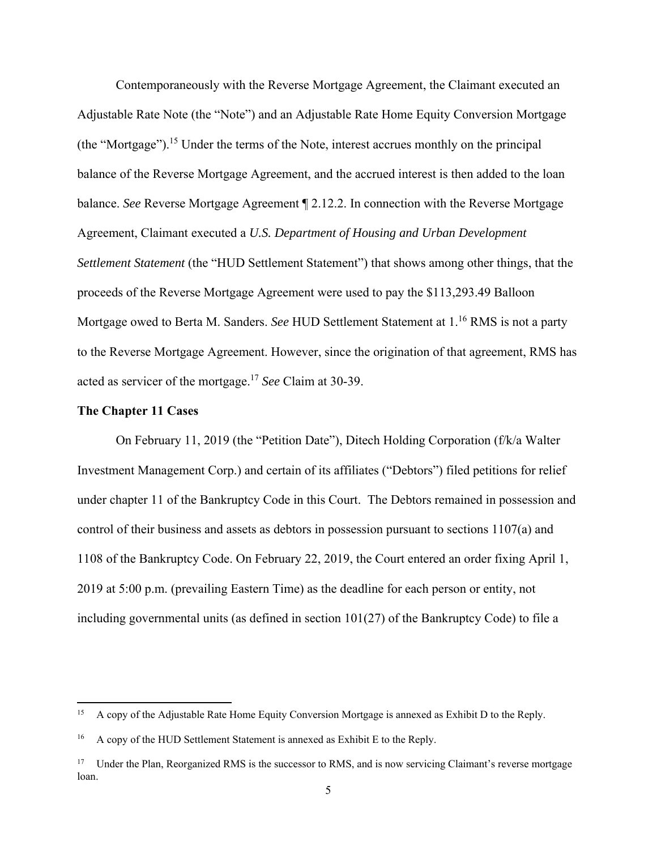Contemporaneously with the Reverse Mortgage Agreement, the Claimant executed an Adjustable Rate Note (the "Note") and an Adjustable Rate Home Equity Conversion Mortgage (the "Mortgage").15 Under the terms of the Note, interest accrues monthly on the principal balance of the Reverse Mortgage Agreement, and the accrued interest is then added to the loan balance. *See* Reverse Mortgage Agreement ¶ 2.12.2. In connection with the Reverse Mortgage Agreement, Claimant executed a *U.S. Department of Housing and Urban Development Settlement Statement* (the "HUD Settlement Statement") that shows among other things, that the proceeds of the Reverse Mortgage Agreement were used to pay the \$113,293.49 Balloon Mortgage owed to Berta M. Sanders. *See* HUD Settlement Statement at 1.16 RMS is not a party to the Reverse Mortgage Agreement. However, since the origination of that agreement, RMS has acted as servicer of the mortgage.17 *See* Claim at 30-39.

#### **The Chapter 11 Cases**

 On February 11, 2019 (the "Petition Date"), Ditech Holding Corporation (f/k/a Walter Investment Management Corp.) and certain of its affiliates ("Debtors") filed petitions for relief under chapter 11 of the Bankruptcy Code in this Court. The Debtors remained in possession and control of their business and assets as debtors in possession pursuant to sections 1107(a) and 1108 of the Bankruptcy Code. On February 22, 2019, the Court entered an order fixing April 1, 2019 at 5:00 p.m. (prevailing Eastern Time) as the deadline for each person or entity, not including governmental units (as defined in section 101(27) of the Bankruptcy Code) to file a

<sup>&</sup>lt;sup>15</sup> A copy of the Adjustable Rate Home Equity Conversion Mortgage is annexed as Exhibit D to the Reply.

<sup>&</sup>lt;sup>16</sup> A copy of the HUD Settlement Statement is annexed as Exhibit E to the Reply.

<sup>&</sup>lt;sup>17</sup> Under the Plan, Reorganized RMS is the successor to RMS, and is now servicing Claimant's reverse mortgage loan.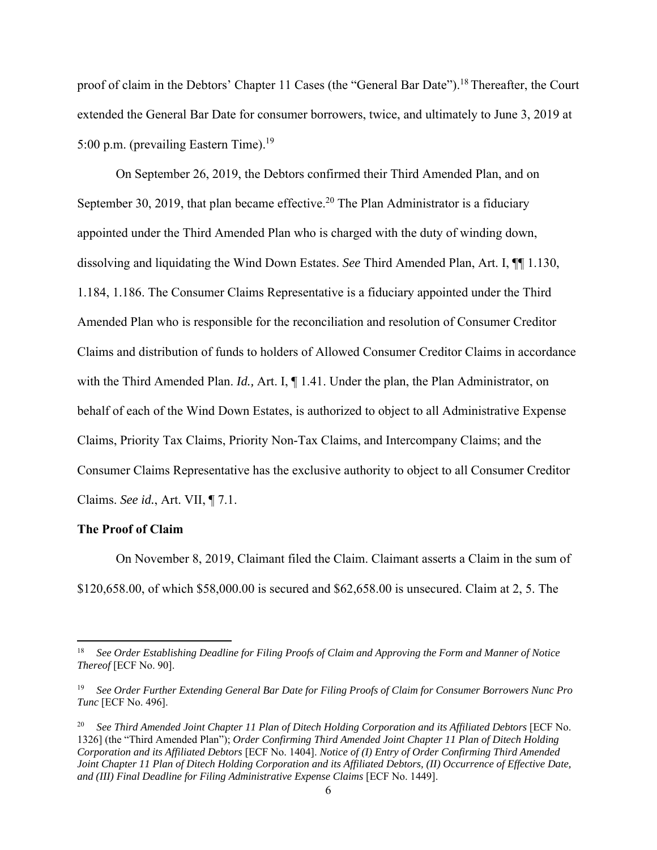proof of claim in the Debtors' Chapter 11 Cases (the "General Bar Date").<sup>18</sup> Thereafter, the Court extended the General Bar Date for consumer borrowers, twice, and ultimately to June 3, 2019 at 5:00 p.m. (prevailing Eastern Time).<sup>19</sup>

 On September 26, 2019, the Debtors confirmed their Third Amended Plan, and on September 30, 2019, that plan became effective.<sup>20</sup> The Plan Administrator is a fiduciary appointed under the Third Amended Plan who is charged with the duty of winding down, dissolving and liquidating the Wind Down Estates. *See* Third Amended Plan, Art. I, ¶¶ 1.130, 1.184, 1.186. The Consumer Claims Representative is a fiduciary appointed under the Third Amended Plan who is responsible for the reconciliation and resolution of Consumer Creditor Claims and distribution of funds to holders of Allowed Consumer Creditor Claims in accordance with the Third Amended Plan. *Id.,* Art. I, ¶ 1.41. Under the plan, the Plan Administrator, on behalf of each of the Wind Down Estates, is authorized to object to all Administrative Expense Claims, Priority Tax Claims, Priority Non-Tax Claims, and Intercompany Claims; and the Consumer Claims Representative has the exclusive authority to object to all Consumer Creditor Claims. *See id.*, Art. VII, ¶ 7.1.

#### **The Proof of Claim**

 On November 8, 2019, Claimant filed the Claim. Claimant asserts a Claim in the sum of \$120,658.00, of which \$58,000.00 is secured and \$62,658.00 is unsecured. Claim at 2, 5. The

<sup>18</sup> *See Order Establishing Deadline for Filing Proofs of Claim and Approving the Form and Manner of Notice Thereof* [ECF No. 90].

<sup>19</sup> *See Order Further Extending General Bar Date for Filing Proofs of Claim for Consumer Borrowers Nunc Pro Tunc* [ECF No. 496].

<sup>20</sup> *See Third Amended Joint Chapter 11 Plan of Ditech Holding Corporation and its Affiliated Debtors* [ECF No. 1326] (the "Third Amended Plan"); *Order Confirming Third Amended Joint Chapter 11 Plan of Ditech Holding Corporation and its Affiliated Debtors* [ECF No. 1404]. *Notice of (I) Entry of Order Confirming Third Amended Joint Chapter 11 Plan of Ditech Holding Corporation and its Affiliated Debtors, (II) Occurrence of Effective Date, and (III) Final Deadline for Filing Administrative Expense Claims* [ECF No. 1449].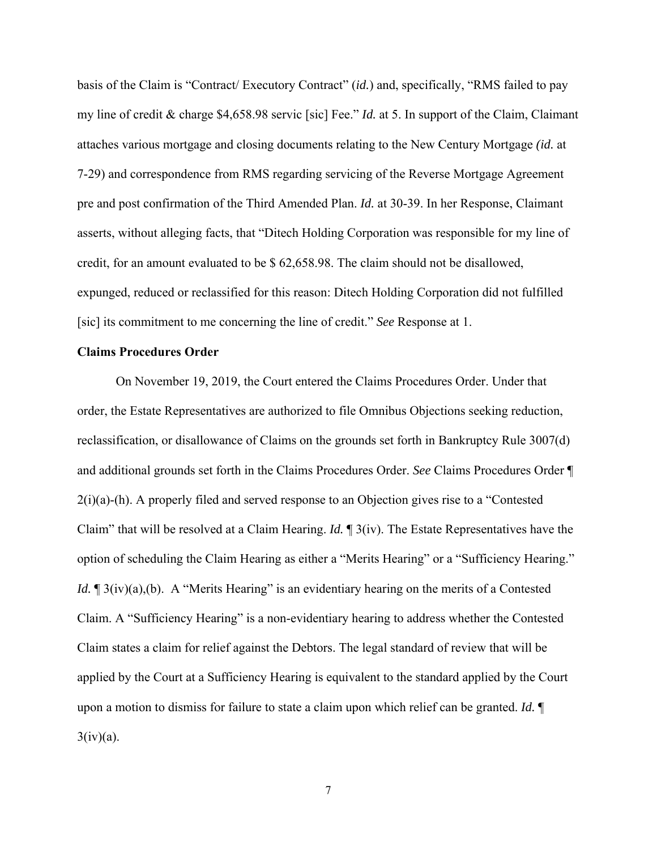basis of the Claim is "Contract/ Executory Contract" (*id.*) and, specifically, "RMS failed to pay my line of credit & charge \$4,658.98 servic [sic] Fee." *Id.* at 5. In support of the Claim, Claimant attaches various mortgage and closing documents relating to the New Century Mortgage *(id.* at 7-29) and correspondence from RMS regarding servicing of the Reverse Mortgage Agreement pre and post confirmation of the Third Amended Plan. *Id.* at 30-39. In her Response, Claimant asserts, without alleging facts, that "Ditech Holding Corporation was responsible for my line of credit, for an amount evaluated to be \$ 62,658.98. The claim should not be disallowed, expunged, reduced or reclassified for this reason: Ditech Holding Corporation did not fulfilled [sic] its commitment to me concerning the line of credit." *See* Response at 1.

#### **Claims Procedures Order**

 On November 19, 2019, the Court entered the Claims Procedures Order. Under that order, the Estate Representatives are authorized to file Omnibus Objections seeking reduction, reclassification, or disallowance of Claims on the grounds set forth in Bankruptcy Rule 3007(d) and additional grounds set forth in the Claims Procedures Order. *See* Claims Procedures Order ¶ 2(i)(a)-(h). A properly filed and served response to an Objection gives rise to a "Contested Claim" that will be resolved at a Claim Hearing. *Id.* ¶ 3(iv). The Estate Representatives have the option of scheduling the Claim Hearing as either a "Merits Hearing" or a "Sufficiency Hearing." *Id.*  $\mathbb{I}$  3(iv)(a),(b). A "Merits Hearing" is an evidentiary hearing on the merits of a Contested Claim. A "Sufficiency Hearing" is a non-evidentiary hearing to address whether the Contested Claim states a claim for relief against the Debtors. The legal standard of review that will be applied by the Court at a Sufficiency Hearing is equivalent to the standard applied by the Court upon a motion to dismiss for failure to state a claim upon which relief can be granted. *Id.* ¶  $3(iv)(a)$ .

7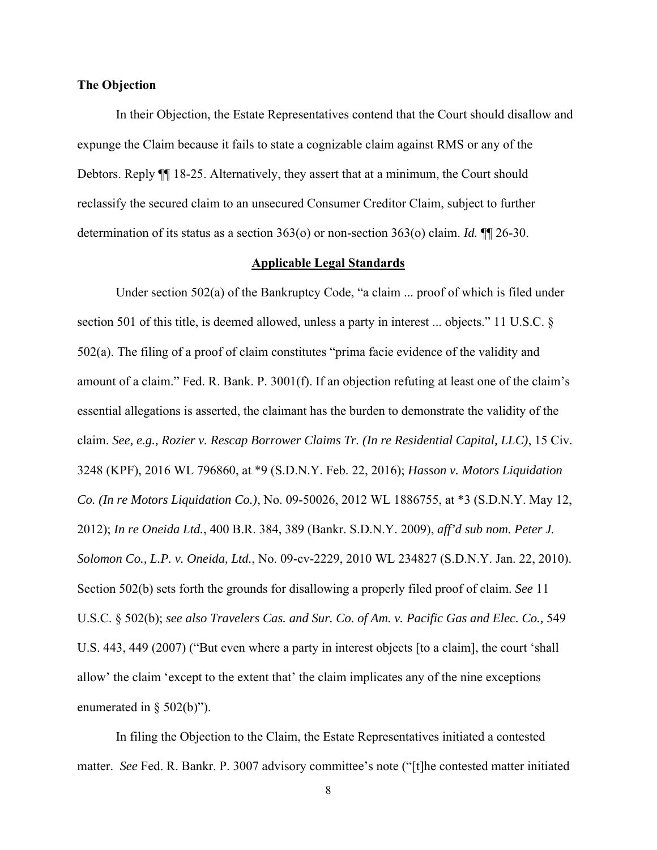#### **The Objection**

 In their Objection, the Estate Representatives contend that the Court should disallow and expunge the Claim because it fails to state a cognizable claim against RMS or any of the Debtors. Reply  $\P$  18-25. Alternatively, they assert that at a minimum, the Court should reclassify the secured claim to an unsecured Consumer Creditor Claim, subject to further determination of its status as a section 363(o) or non-section 363(o) claim. *Id.* ¶¶ 26-30.

#### **Applicable Legal Standards**

 Under section 502(a) of the Bankruptcy Code, "a claim ... proof of which is filed under section 501 of this title, is deemed allowed, unless a party in interest ... objects." 11 U.S.C. § 502(a). The filing of a proof of claim constitutes "prima facie evidence of the validity and amount of a claim." Fed. R. Bank. P. 3001(f). If an objection refuting at least one of the claim's essential allegations is asserted, the claimant has the burden to demonstrate the validity of the claim. *See, e.g., Rozier v. Rescap Borrower Claims Tr. (In re Residential Capital, LLC)*, 15 Civ. 3248 (KPF), 2016 WL 796860, at \*9 (S.D.N.Y. Feb. 22, 2016); *Hasson v. Motors Liquidation Co. (In re Motors Liquidation Co.)*, No. 09-50026, 2012 WL 1886755, at \*3 (S.D.N.Y. May 12, 2012); *In re Oneida Ltd.*, 400 B.R. 384, 389 (Bankr. S.D.N.Y. 2009), *aff'd sub nom. Peter J. Solomon Co., L.P. v. Oneida, Ltd.*, No. 09-cv-2229, 2010 WL 234827 (S.D.N.Y. Jan. 22, 2010). Section 502(b) sets forth the grounds for disallowing a properly filed proof of claim. *See* 11 U.S.C. § 502(b); *see also Travelers Cas. and Sur. Co. of Am. v. Pacific Gas and Elec. Co.,* 549 U.S. 443, 449 (2007) ("But even where a party in interest objects [to a claim], the court 'shall allow' the claim 'except to the extent that' the claim implicates any of the nine exceptions enumerated in  $\S$  502(b)").

 In filing the Objection to the Claim, the Estate Representatives initiated a contested matter. *See* Fed. R. Bankr. P. 3007 advisory committee's note ("[t]he contested matter initiated

8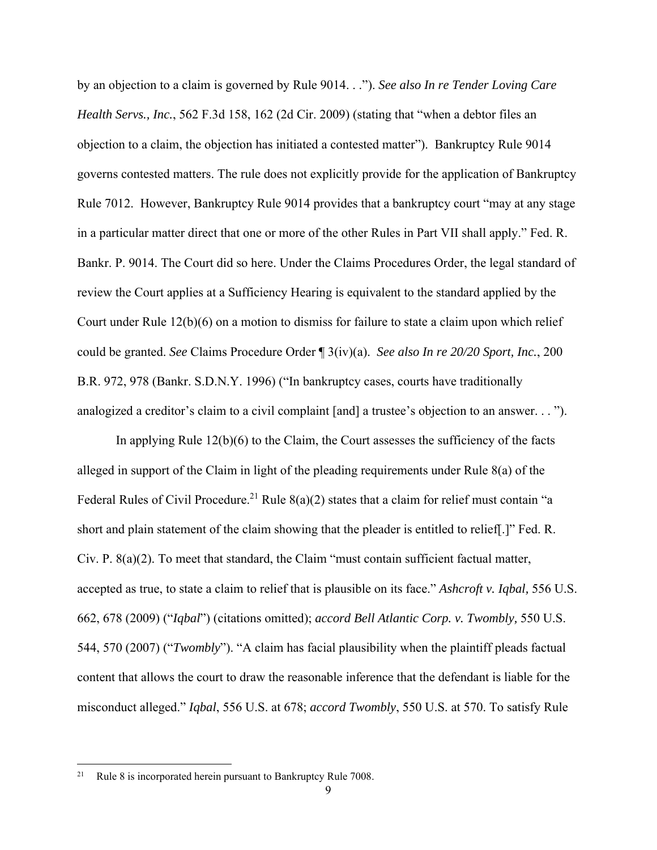by an objection to a claim is governed by Rule 9014. . ."). *See also In re Tender Loving Care Health Servs., Inc.*, 562 F.3d 158, 162 (2d Cir. 2009) (stating that "when a debtor files an objection to a claim, the objection has initiated a contested matter"). Bankruptcy Rule 9014 governs contested matters. The rule does not explicitly provide for the application of Bankruptcy Rule 7012. However, Bankruptcy Rule 9014 provides that a bankruptcy court "may at any stage in a particular matter direct that one or more of the other Rules in Part VII shall apply." Fed. R. Bankr. P. 9014. The Court did so here. Under the Claims Procedures Order, the legal standard of review the Court applies at a Sufficiency Hearing is equivalent to the standard applied by the Court under Rule 12(b)(6) on a motion to dismiss for failure to state a claim upon which relief could be granted. *See* Claims Procedure Order ¶ 3(iv)(a). *See also In re 20/20 Sport, Inc.*, 200 B.R. 972, 978 (Bankr. S.D.N.Y. 1996) ("In bankruptcy cases, courts have traditionally analogized a creditor's claim to a civil complaint [and] a trustee's objection to an answer. . . ").

 In applying Rule 12(b)(6) to the Claim, the Court assesses the sufficiency of the facts alleged in support of the Claim in light of the pleading requirements under Rule 8(a) of the Federal Rules of Civil Procedure.<sup>21</sup> Rule 8(a)(2) states that a claim for relief must contain "a short and plain statement of the claim showing that the pleader is entitled to relief[.]" Fed. R. Civ. P. 8(a)(2). To meet that standard, the Claim "must contain sufficient factual matter, accepted as true, to state a claim to relief that is plausible on its face." *Ashcroft v. Iqbal,* 556 U.S. 662, 678 (2009) ("*Iqbal*") (citations omitted); *accord Bell Atlantic Corp. v. Twombly,* 550 U.S. 544, 570 (2007) ("*Twombly*"). "A claim has facial plausibility when the plaintiff pleads factual content that allows the court to draw the reasonable inference that the defendant is liable for the misconduct alleged." *Iqbal*, 556 U.S. at 678; *accord Twombly*, 550 U.S. at 570. To satisfy Rule

<sup>&</sup>lt;sup>21</sup> Rule 8 is incorporated herein pursuant to Bankruptcy Rule 7008.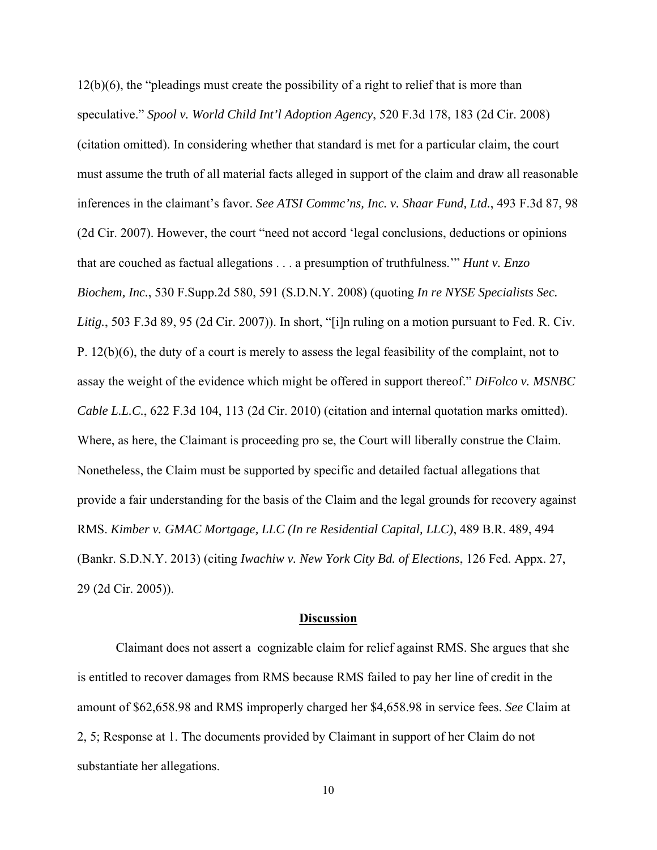12(b)(6), the "pleadings must create the possibility of a right to relief that is more than speculative." *Spool v. World Child Int'l Adoption Agency*, 520 F.3d 178, 183 (2d Cir. 2008) (citation omitted). In considering whether that standard is met for a particular claim, the court must assume the truth of all material facts alleged in support of the claim and draw all reasonable inferences in the claimant's favor. *See ATSI Commc'ns, Inc. v. Shaar Fund, Ltd.*, 493 F.3d 87, 98 (2d Cir. 2007). However, the court "need not accord 'legal conclusions, deductions or opinions that are couched as factual allegations . . . a presumption of truthfulness.'" *Hunt v. Enzo Biochem, Inc.*, 530 F.Supp.2d 580, 591 (S.D.N.Y. 2008) (quoting *In re NYSE Specialists Sec. Litig.*, 503 F.3d 89, 95 (2d Cir. 2007)). In short, "[i]n ruling on a motion pursuant to Fed. R. Civ. P. 12(b)(6), the duty of a court is merely to assess the legal feasibility of the complaint, not to assay the weight of the evidence which might be offered in support thereof." *DiFolco v. MSNBC Cable L.L.C.*, 622 F.3d 104, 113 (2d Cir. 2010) (citation and internal quotation marks omitted). Where, as here, the Claimant is proceeding pro se, the Court will liberally construe the Claim. Nonetheless, the Claim must be supported by specific and detailed factual allegations that provide a fair understanding for the basis of the Claim and the legal grounds for recovery against RMS. *Kimber v. GMAC Mortgage, LLC (In re Residential Capital, LLC)*, 489 B.R. 489, 494 (Bankr. S.D.N.Y. 2013) (citing *Iwachiw v. New York City Bd. of Elections*, 126 Fed. Appx. 27, 29 (2d Cir. 2005)).

#### **Discussion**

Claimant does not assert a cognizable claim for relief against RMS. She argues that she is entitled to recover damages from RMS because RMS failed to pay her line of credit in the amount of \$62,658.98 and RMS improperly charged her \$4,658.98 in service fees. *See* Claim at 2, 5; Response at 1. The documents provided by Claimant in support of her Claim do not substantiate her allegations.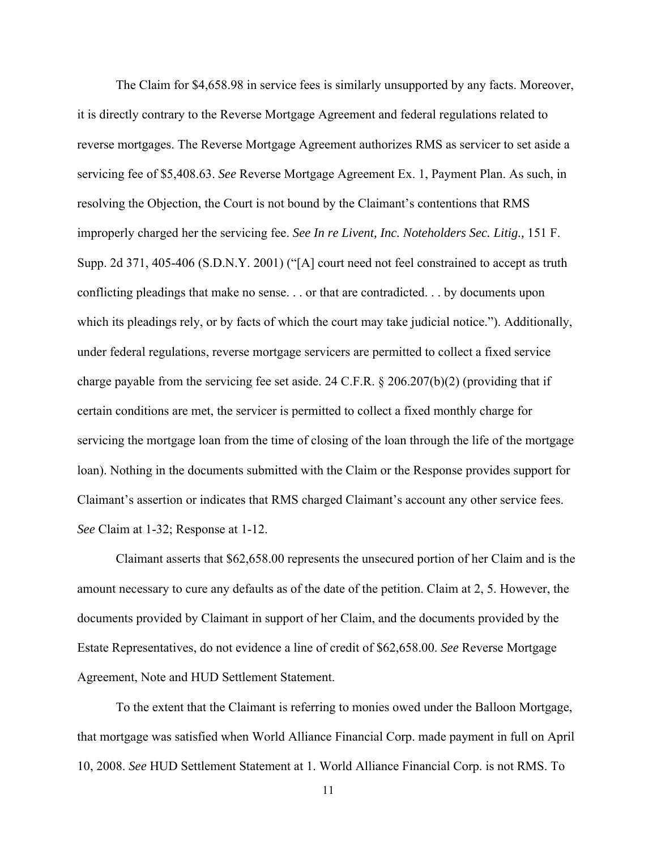The Claim for \$4,658.98 in service fees is similarly unsupported by any facts. Moreover, it is directly contrary to the Reverse Mortgage Agreement and federal regulations related to reverse mortgages. The Reverse Mortgage Agreement authorizes RMS as servicer to set aside a servicing fee of \$5,408.63. *See* Reverse Mortgage Agreement Ex. 1, Payment Plan. As such, in resolving the Objection, the Court is not bound by the Claimant's contentions that RMS improperly charged her the servicing fee. *See In re Livent, Inc. Noteholders Sec. Litig.,* 151 F. Supp. 2d 371, 405-406 (S.D.N.Y. 2001) ("[A] court need not feel constrained to accept as truth conflicting pleadings that make no sense. . . or that are contradicted. . . by documents upon which its pleadings rely, or by facts of which the court may take judicial notice."). Additionally, under federal regulations, reverse mortgage servicers are permitted to collect a fixed service charge payable from the servicing fee set aside. 24 C.F.R. § 206.207(b)(2) (providing that if certain conditions are met, the servicer is permitted to collect a fixed monthly charge for servicing the mortgage loan from the time of closing of the loan through the life of the mortgage loan). Nothing in the documents submitted with the Claim or the Response provides support for Claimant's assertion or indicates that RMS charged Claimant's account any other service fees. *See* Claim at 1-32; Response at 1-12.

Claimant asserts that \$62,658.00 represents the unsecured portion of her Claim and is the amount necessary to cure any defaults as of the date of the petition. Claim at 2, 5. However, the documents provided by Claimant in support of her Claim, and the documents provided by the Estate Representatives, do not evidence a line of credit of \$62,658.00. *See* Reverse Mortgage Agreement, Note and HUD Settlement Statement.

To the extent that the Claimant is referring to monies owed under the Balloon Mortgage, that mortgage was satisfied when World Alliance Financial Corp. made payment in full on April 10, 2008. *See* HUD Settlement Statement at 1. World Alliance Financial Corp. is not RMS. To

11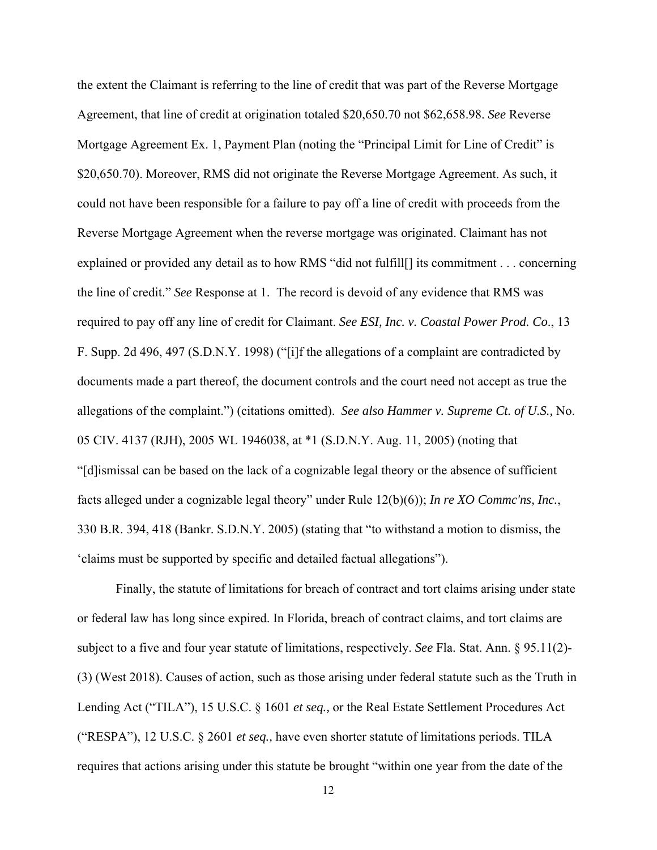the extent the Claimant is referring to the line of credit that was part of the Reverse Mortgage Agreement, that line of credit at origination totaled \$20,650.70 not \$62,658.98. *See* Reverse Mortgage Agreement Ex. 1, Payment Plan (noting the "Principal Limit for Line of Credit" is \$20,650.70). Moreover, RMS did not originate the Reverse Mortgage Agreement. As such, it could not have been responsible for a failure to pay off a line of credit with proceeds from the Reverse Mortgage Agreement when the reverse mortgage was originated. Claimant has not explained or provided any detail as to how RMS "did not fulfill[] its commitment . . . concerning the line of credit." *See* Response at 1. The record is devoid of any evidence that RMS was required to pay off any line of credit for Claimant. *See ESI, Inc. v. Coastal Power Prod. Co*., 13 F. Supp. 2d 496, 497 (S.D.N.Y. 1998) ("[i]f the allegations of a complaint are contradicted by documents made a part thereof, the document controls and the court need not accept as true the allegations of the complaint.") (citations omitted). *See also Hammer v. Supreme Ct. of U.S.,* No. 05 CIV. 4137 (RJH), 2005 WL 1946038, at \*1 (S.D.N.Y. Aug. 11, 2005) (noting that "[d]ismissal can be based on the lack of a cognizable legal theory or the absence of sufficient facts alleged under a cognizable legal theory" under Rule 12(b)(6)); *In re XO Commc'ns, Inc.*, 330 B.R. 394, 418 (Bankr. S.D.N.Y. 2005) (stating that "to withstand a motion to dismiss, the 'claims must be supported by specific and detailed factual allegations").

Finally, the statute of limitations for breach of contract and tort claims arising under state or federal law has long since expired. In Florida, breach of contract claims, and tort claims are subject to a five and four year statute of limitations, respectively. *See* Fla. Stat. Ann. § 95.11(2)- (3) (West 2018). Causes of action, such as those arising under federal statute such as the Truth in Lending Act ("TILA"), 15 U.S.C. § 1601 *et seq.,* or the Real Estate Settlement Procedures Act ("RESPA"), 12 U.S.C. § 2601 *et seq.,* have even shorter statute of limitations periods. TILA requires that actions arising under this statute be brought "within one year from the date of the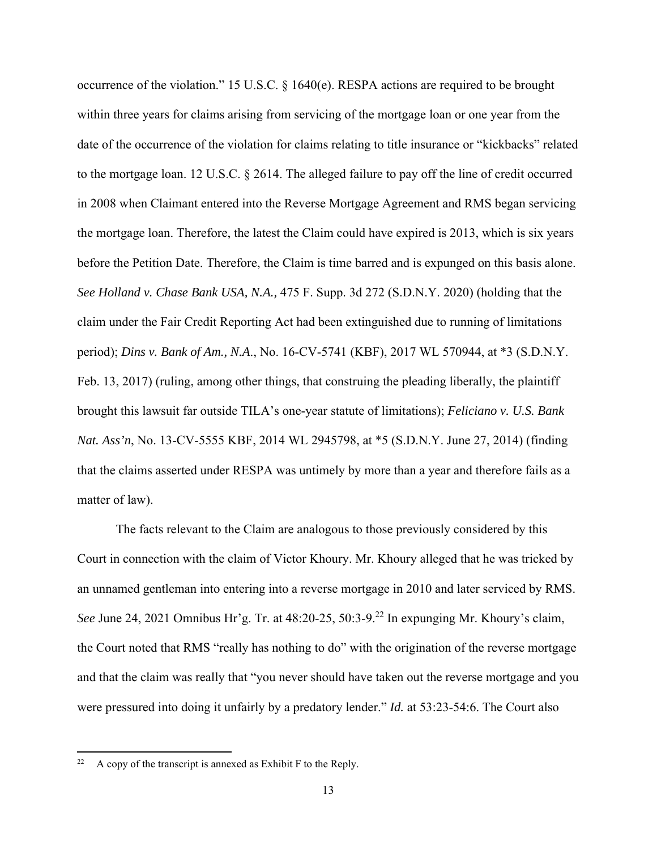occurrence of the violation." 15 U.S.C. § 1640(e). RESPA actions are required to be brought within three years for claims arising from servicing of the mortgage loan or one year from the date of the occurrence of the violation for claims relating to title insurance or "kickbacks" related to the mortgage loan. 12 U.S.C. § 2614. The alleged failure to pay off the line of credit occurred in 2008 when Claimant entered into the Reverse Mortgage Agreement and RMS began servicing the mortgage loan. Therefore, the latest the Claim could have expired is 2013, which is six years before the Petition Date. Therefore, the Claim is time barred and is expunged on this basis alone. *See Holland v. Chase Bank USA, N.A.,* 475 F. Supp. 3d 272 (S.D.N.Y. 2020) (holding that the claim under the Fair Credit Reporting Act had been extinguished due to running of limitations period); *Dins v. Bank of Am., N.A*., No. 16-CV-5741 (KBF), 2017 WL 570944, at \*3 (S.D.N.Y. Feb. 13, 2017) (ruling, among other things, that construing the pleading liberally, the plaintiff brought this lawsuit far outside TILA's one-year statute of limitations); *Feliciano v. U.S. Bank Nat. Ass'n*, No. 13-CV-5555 KBF, 2014 WL 2945798, at \*5 (S.D.N.Y. June 27, 2014) (finding that the claims asserted under RESPA was untimely by more than a year and therefore fails as a matter of law).

 The facts relevant to the Claim are analogous to those previously considered by this Court in connection with the claim of Victor Khoury. Mr. Khoury alleged that he was tricked by an unnamed gentleman into entering into a reverse mortgage in 2010 and later serviced by RMS. *See* June 24, 2021 Omnibus Hr'g. Tr. at 48:20-25, 50:3-9.22 In expunging Mr. Khoury's claim, the Court noted that RMS "really has nothing to do" with the origination of the reverse mortgage and that the claim was really that "you never should have taken out the reverse mortgage and you were pressured into doing it unfairly by a predatory lender." *Id.* at 53:23-54:6. The Court also

<sup>&</sup>lt;sup>22</sup> A copy of the transcript is annexed as Exhibit F to the Reply.